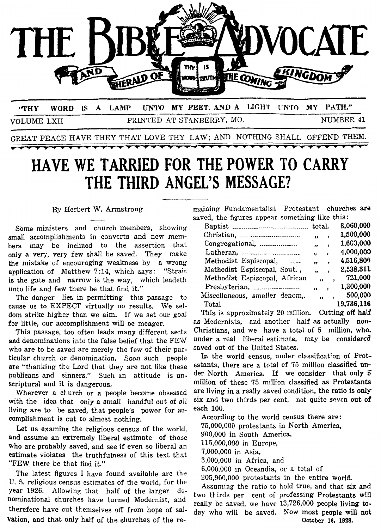

**"THY WORD IS A LAMP UNTO MY FEET. AND A LIGHT UNTO MY PATH."** VOLUME LXII PRINTED AT STANBERRY, MO. NUMBER 41

GREAT PEACE HAVE THEY THAT LOVE THY LAW; AND NOTHING SHALL OFFEND THEM.

# **HAVE WE TARRIED FOR THE POWER TO CARRY THE THIRD ANGEL'S MESSAGE?**  - saved, the figurss appear something like this:

Some ministers and church members, showing small accomplishments in converts and new memhers may be inclined to the assertion that only a very, very few shall be saved. They make application of Matthew 7:14, which says: "Strait is the gate and narrow is the way, which leadeth unto life and few there be that find it." the mistake of encouraging weakness by a wrong

The danger lies in permitting this passage to cause us to EXPECT virtually no results. We seldom strike higher than we aim. If we set our goal for little, our accomplishment will be meager. as Modernists, and another half as actually non-

and denominations into the false belief that the FEW under a real liberal estimate, may be considered who are to be saved are merely the few of their par-<br>ticular church or denomination. Soon such people. In the world census, under classification of Protticular church or denomination. Soon such people are "thanking the Lord that they are not like these estants, there are a total of 75 million classified un-<br>publicans and sinners," Such an attitude is un- der North America. If we consider that only 5 publicans and sinners." Such an attitude is unscriptural and it is dangerous. **million** of these 75 million classified as Protestants

with the idea that only a small handful out of 311 **Six** and two thirds per cent, not quite seven out **of**  living are to be saved, that people's power for accomplishment is cut to almost nothing.

Let us examine the religious census of the world, and assume an extremely liberal estimate of those who are probably saved, and see if even so liberal an estimate violates the truthfulness of this text that "FEW there be that find it."

The latest figures I have found available are the u. *S.* religious census estimates of the world, for the therefore have cut themselves off from hope of sal-<br>therefore have cut themselves off from hope of sal- day who will be saved. Now most people will not vation, and that only half of the churches of the reyear 1926. Allowing that half of the larger de-<br>two tkirds per cent of professing Protestants will nominational churches have turned Modernist, and

By Herbert W. Armstrong maining Fundamentalist Protestant churches **are** 

|                                |                         |                          | 3,060,000  |
|--------------------------------|-------------------------|--------------------------|------------|
|                                | ,,                      | ,                        | 1,500,000  |
| Congregational,                | ,,                      | $\lambda$                | 1,600,000  |
|                                | ,,                      | $\lambda$                | 4,000,000  |
| Methodist Espiscopal,          | ,,                      | ,                        | 4,516,806  |
| Methodist Espiscopal, Sout.,   | ,,                      | $\bullet$                | 2,538,311  |
| Methodist Espiscopal, African  | ,                       |                          | 721,000    |
| Presbyterian,                  | "                       | $\overline{\phantom{a}}$ | 1,300,000  |
| Miscellaneous, smaller denom,. | $\overline{\mathbf{v}}$ |                          | 500,000    |
| Total                          |                         |                          | 19,736,116 |

This passage, too often leads many different sects Christians, and we have a total of **5** million, **who.**  This is approximately 20 million. Cutting off half

Wherever a church or a people become obsessed are living in a really saved condition, the ratio is only<br>th the idea that only a small handful out of all six and two thirds per cent, not quite seven out of

According to the world census there are: 75,000,000 protestants in North America, 900,000 in South America, 115,000,000 in Europe, 7,000,000 in Asia, 3,000,000 in Africa, and 6,000,000 in Oceandia, or **a** total of 205,900,000 protestants in the entire world.

Assuming the ratio to hold true, and that **six** and **October 16, 1928.**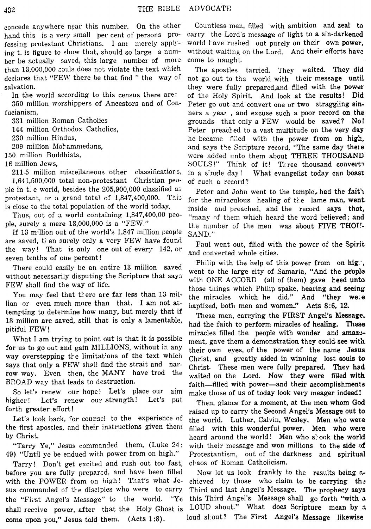concede anywhere near this number. On the other hand this is a very small per cent of persons professing protestant Christians. I am merely applying t<sub>i</sub> is figure to show that, should so large a number be actually saved, this large number of more than  $13,000,000$  souls does not violate the text which declares that "FEW there be that find " the way of salvation.

In the world according to this census there are: 350 million worshippers of Ancestors and of Confucianism,

331 million Roman Catholics

144 million Orthodox Catholics,

230 million Hindus,

209 million Mohammedans,

150 million Buddhists,

16 million Jews,

**21** 1 *5* million misceilaneous other classificatior s, 1,641,500,000 total non-protestant Christian people in t- e world, besides the 205,900,000 classified **a:;**  protestant, or a grand total of 1,847,400,000. Thi: is close to the total population of the world today.

Thus, out of **3** world containing 1,847,400,OO people, eurely a mere 13,000,000 is a "FEW."

If 13 million out of the world's 1,847 million people are saved, then surely only a very FEW have found the way! That is only one out of every 142, *or*  seven tenths of one percent I

There could easily be an entire **13** million saved without necessarily disputing the Scripture that says FEW shall find the way of life.

You may feel that there are far less than 13 million **or** even much more than that. I **am** not attemrting to determine how many, but merely that if **13** million are saved, still that is only a lamentable, pitiful FEW!

What I am tryjng to point out is that it is possible for **us** to go out and gain MILLIONS, without in any way overstepping the limitations of the text which says that only a FEW shall find the strait and narrow way. Even then, the MANY have trod the BROAD way that leads to destruction.

So let's renew our hope! Let's place our aim higher! Let's renew our strength! Let's put forth greater effort !

Let's look back, for coursel to the experience of the first apostles, and their instructions given then by Christ.

"Tarry Ye," Jesus commanded them, (Luke 24: **49)** "Until ye be endued with power from on high."

Tarry! Don't get excited and rush out too fast, before you are fully preparcd, and have been filled with the POWER from on high! That's what Jesus commanded of the disciples who were to carry the "First Angel's Message" to the world. "Ye shall receive power, after that the Holy Ghost is come upon you," Jesus told them. (Acts **1:8).** 

Countless men, filled with ambition and zeal to carry the Lord's message of light to a sin-darkencd world have rushed out purely on their own power, without waiting on the Lord. And their efforts have come to naught.

The apostles tarried. They waited. They did not go out to the world with their message until they were fully prepared,and filled with the power of the Holy Spirit. And look at the results! Did Peter go out and convert one or two straggiing sinners a year, and excuse such a poor record on the grounds that only a FEW would be saved? **No!**  Peter preached to a vast multitude on the very day he became filled with the power from on high, and says the Scripture record, "The same day there were added unto them about THREE THOUSAND SOULS!" Think of it! Three thousand convert? in a s'ngle day ! What evangelist today can **boast**  of Fuch a record?

Peter and John went to the temple, had the fait's for the miraculous healing of the lame man, went inside and preached, and the record says that, "many of them which heard the word believed; and the number of the men was about FIVE THOU-SAND."

Paul went out, filled with the power of the Spirit and converted whole cities.

Philip with the help of this power from on hig., went to the large city of Samaria, "And the **people** with ONE ACCORD (all of them) gave heed unto those things which Philip spake, hearing and seeing the miracles which he did." And "they we;e baptized, both men and women..'' Acts **8:6, 12.** 

These men, carrying the **FIRST** Angel's **Message.**  had the faith to perform miracles of healing. **These**  miracles filled the people with wonder and amazement, gave them a demonstration they **could** see *with*  their own eyes, of the power of the name Jesus Christ, and greatly aided in winning lost **souls** to Christ. These men were fully prepared. They had waited on the Lord. Now they were filled with faith-filled with power-and their accomplishments make those of us of today look very meager indeed!

Then, glance for a moment, at the men whom God raised up to carry the Second Angel's Message out to the world. Luther, Calvin, Wesley. Men who **were**  filled with this wonderful power. Men who were heard around the world! Men who **slook** the world with their message and won millions to the side of Protestantism, out of the darkness and spiritual chaos of Roman Catholicism.

Now let us look frankly to the results **being** zchieved by those who claim to be carrying the Third and last Angel's Message. The prophecy **says**  this Third Angel's Message shall *go* forth "with **a**  LOUD shout." What does Scripture mean **by** *a*  loud sl.out? The First Angel's Message likewise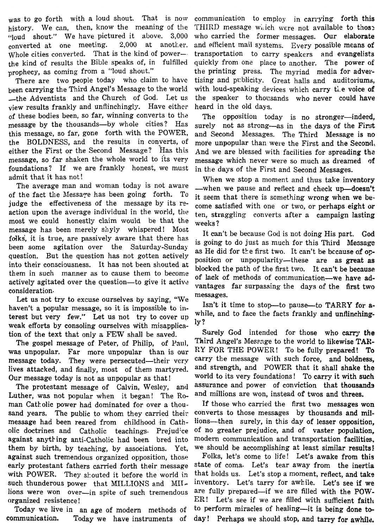was to go forth with a loud shout. That is now communication to employ in carrying forth this history. We can, then, know the meaning of the THIRD message which were not available to those "loud shout." We have pictured it above.  $3,000$  who carried the former messages. Our elaborate converted at one meeting. 2,000 at another. and efficient mail systems. Every possible means of Whole cities converted. That is the kind of power- transportation to carry speakers and evangelists the kind of results the Bible speaks of, in fulfilled quickly from one place to another. The power **of** 

been carrying the Third Angel's Message to the world with loud-speaking devices which carry the voice of -the Adventists and the Church of God. Let us the speaker to thousands who never could have view results frankly and unflinchingly. Have either heard in the old days. view results frankly and unflinchingly. Have either of these bodies been, so far, winning converts to the The opposition today is no stronger-indeed, message by the thousands—by whole cities? Has surely not as strong—as in the days of the First<br>this message, so far, gone forth with the POWER, and Second Messages. The Third Message is no the BOLDNESS, and the results in converts, of more unpopular than were the First and the Second, either the First or the Second Message? Has this And we are blessed with facilities for spreading the message, so far shaken the whole world to its very message which never were so much as dreamed of foundations? If we are frankly honest, we must in the days of the First and Second Messages.

action upon the average individual in the world, the most we could honestly claim would be that the weeks? message has been merely shyly whispered! Most folks, it is true, are passively aware that there has ions, it is true, are passively aware that there has is going to do just as much for this Third Message been some agitation over the Saturday-Sunday as II, it is family for the  $N$ question. But the question has not gotten actively position or unpopularity-these are as **great** as into their consciousness. of the fact the Message has been going forth. To judge the effectiveness of the message by its re-It has not been shouted at blocked the path of the first two. It can't be because<br>them in such manner as to cause them to become of lack of methods of communication—we have ad-<br>actively agitated over the question—to give

actively agitated over the question—to give it active<br>consideration—to give it active<br>consideration—to real vantages far surpassing the days of the first two<br>consideration.<br>Let us not try to excuse ourselves by saying, "We

was unpopular. Far more unpopular than is our <sup>RY</sup> FOR THE POWER! To be fully prepared! To message today. They were persecuted—their very carry the message with such force, and boldness, message today. They were persecuted—their very lives attacked, and finally, most of them martyred. and strength, and POWER that it shall shake the The gospel message of Peter, of Philip,

The protestant message of Calvin, Wesley, and assurance and power of conviction that thousal<br>ither was not popular when it began! The Ro- and millions are won, instead of twos and threes. Luther, was not popular when it began! The  $Ro-$  and millions are won, instead of twos and threes. man Catkolic power had dominated for over a thou- If those who carried the first two messages **won**  sand years. The public to whom they carried their converts to those messages by thousands and **mil**message had been reared from childhood in Cath- lions-then surely, in this day of lesser opposition, olic doctrines and Catholic teachings. Prejudice of no greater prejudice, and of vaster population, against anything anti-Catholic had been. bred into modern communication and transportation facilities, them by birth, by teaching, by associations. Yet, we should be accomplishing at least similar results! against such tremendous organized opposition, those Folks, let's come to life! Let's awake from this early protestant fathers carried forth their message state of coma. Let's tear away from the inertia with POWER. They shouted it before the world in that holds us. Let's stop a moment, reflect, and take such thunderous power that MILLIONS and MII- inventory. Let's tarry for awhile. Let's see if we lions were won over—in spite of such tremendous are fully prepared—if we are filled with the POWorganized resistence!  $\begin{aligned} \text{ER!} \quad \text{Let's see if we are filled with sufficient faith.} \end{aligned}$ 

3,000 who carried the former messages. Our elaborate prophecy, as coming from a "loud shout." the printing press. The myriad media for adver-<br>There are two people today who claim to have tising and publicity. Great halls and auditoriums. tising and publicity. Great halls and auditoriums,

and Second Messages. The Third Message is no

admit that it has not!<br>The average man and woman today is not aware -when we pause and reflect and check up-doesn't it seem that there is something wrong when we become satisfied with one or two, or perhaps eight or ten, straggling converts after a campaign lasting

> It can't be because God is not doing His part. God as He did for the first two. It can't be because of op-

tion of the text that only a FEW shall be saved.<br>The gospel message of Peter of Philip of Paul, <sup>Third</sup> Angel's Message to the world to likewise TAR-Our message today is not as unpopular as that! world to its very foundations! To carry it with such<br>The protestant message of Calvin Wesley, and assurance and power of conviction that thousands

Today we live in an age of modern methods of to perform miracles of healing-it is being done tocommunicatian. Today we have instruments of **day!** Perhaps we should stop, and tarry for **awhild.**